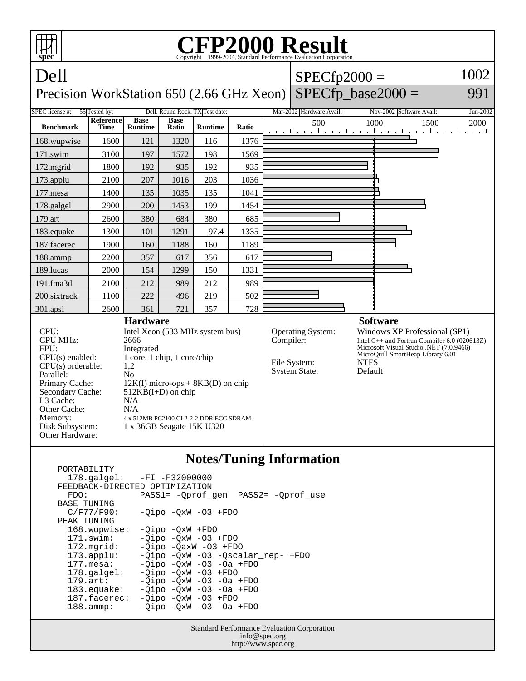

## **Notes/Tuning Information**

 PORTABILITY 178.galgel: -FI -F32000000 FEEDBACK-DIRECTED OPTIMIZATION<br>FDO: PASS1= -Oprof FDO: PASS1= -Qprof\_gen PASS2= -Qprof\_use BASE TUNING  $C/F77/F90: -Qipo -QxW -O3 + FDO$ PEAK TUNING<br>168.wupwise: 168.wupwise: -Qipo -QxW +FDO<br>171.swim: -Oipo -OxW -O3 -Qipo -QxW -O3 +FDO 172.mgrid: -Qipo -QaxW -O3 +FDO 173.applu: -Qipo -QxW -O3 -Qscalar\_rep- +FDO 177.mesa: -Qipo -QxW -O3 -Oa +FDO<br>178.galgel: -Qipo -QxW -O3 +FDO 178.galgel: - Qipo - QxW - 03 + FDO<br>179.art: - Oipo - OxW - 03 - Oa 179.art: - Qipo - QxW - 03 - 0a + FDO<br>183.equake: - Qipo - QxW - 03 - 0a + FDO  $-Qipo -QxW -O3 -Oa +FDO$  187.facerec: -Qipo -QxW -O3 +FDO 188.ammp: -Qipo -QxW -O3 -Oa +FDO

> Standard Performance Evaluation Corporation info@spec.org http://www.spec.org